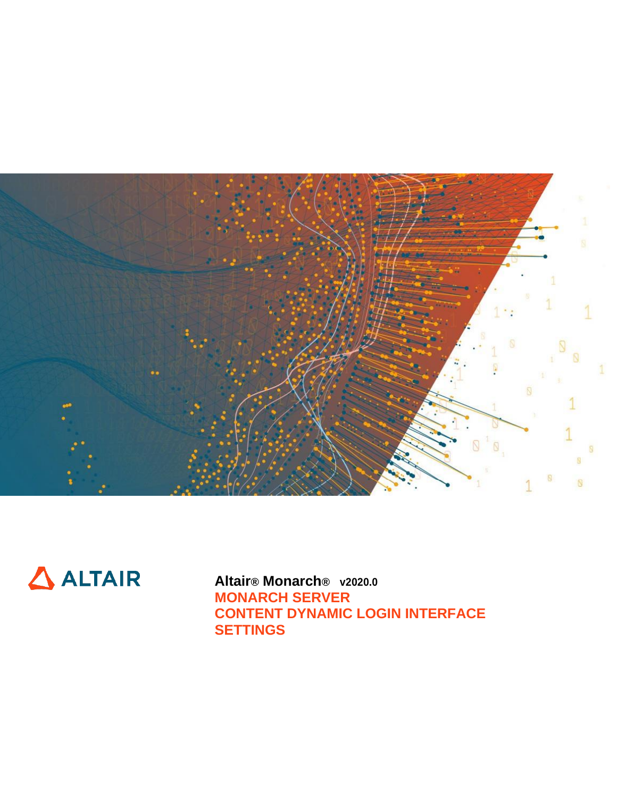



**Altair® Monarch® v2020.0 MONARCH SERVER CONTENT DYNAMIC LOGIN INTERFACE SETTINGS**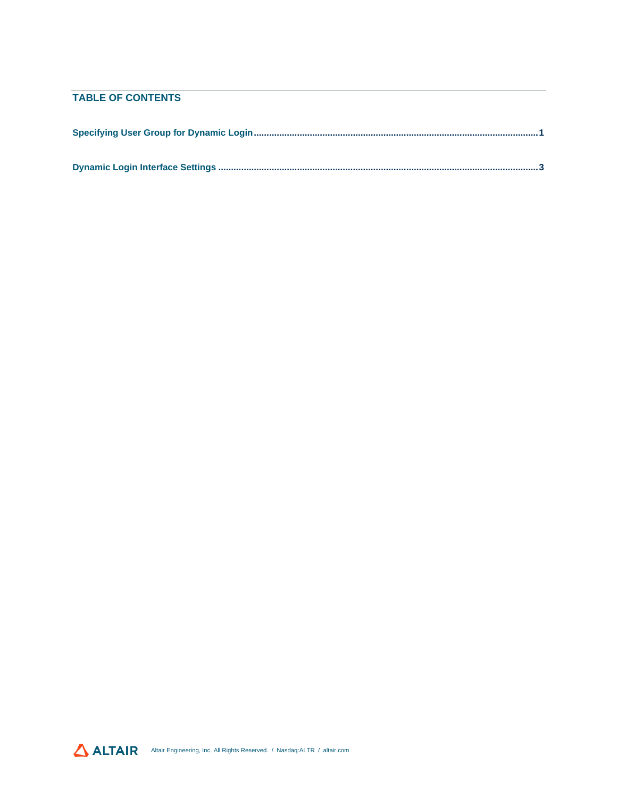## **TABLE OF CONTENTS**

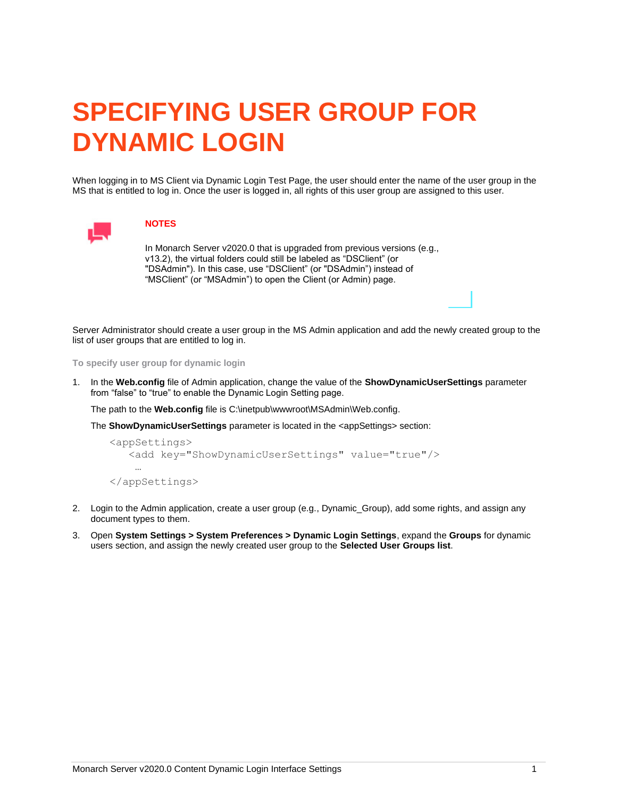# <span id="page-2-0"></span>**SPECIFYING USER GROUP FOR DYNAMIC LOGIN**

When logging in to MS Client via Dynamic Login Test Page, the user should enter the name of the user group in the MS that is entitled to log in. Once the user is logged in, all rights of this user group are assigned to this user.



### **NOTES**

In Monarch Server v2020.0 that is upgraded from previous versions (e.g., v13.2), the virtual folders could still be labeled as "DSClient" (or "DSAdmin"). In this case, use "DSClient" (or "DSAdmin") instead of "MSClient" (or "MSAdmin") to open the Client (or Admin) page.

Server Administrator should create a user group in the MS Admin application and add the newly created group to the list of user groups that are entitled to log in.

**To specify user group for dynamic login**

1. In the **Web.config** file of Admin application, change the value of the **ShowDynamicUserSettings** parameter from "false" to "true" to enable the Dynamic Login Setting page.

The path to the **Web.config** file is C:\inetpub\wwwroot\MSAdmin\Web.config.

The **ShowDynamicUserSettings** parameter is located in the <appSettings> section:

```
<appSettings>
    <add key="ShowDynamicUserSettings" value="true"/>
 …
</appSettings>
```
- 2. Login to the Admin application, create a user group (e.g., Dynamic\_Group), add some rights, and assign any document types to them.
- 3. Open **System Settings > System Preferences > Dynamic Login Settings**, expand the **Groups** for dynamic users section, and assign the newly created user group to the **Selected User Groups list**.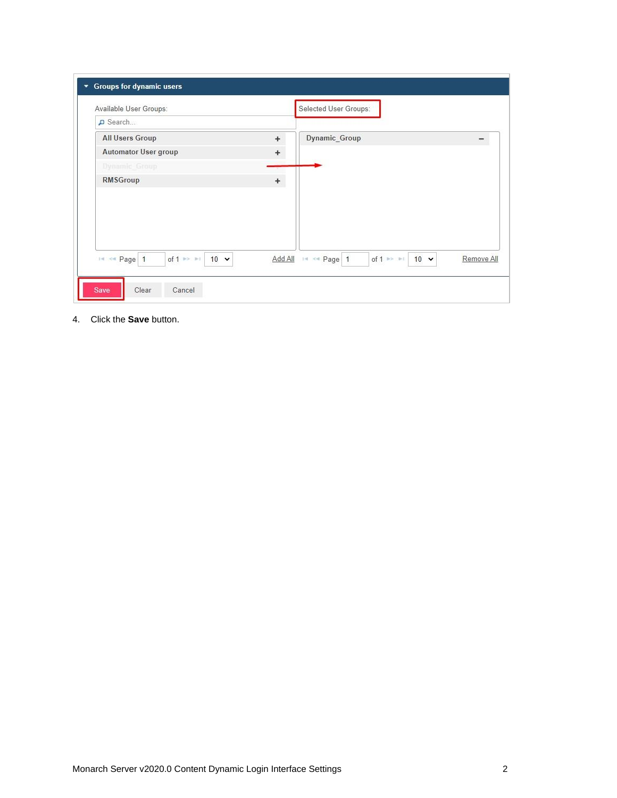| Available User Groups:                            |           | Selected User Groups:                                                                           |
|---------------------------------------------------|-----------|-------------------------------------------------------------------------------------------------|
| D Search                                          |           |                                                                                                 |
| <b>All Users Group</b>                            | $\ddot{}$ | Dynamic_Group                                                                                   |
| Automator User group                              | +         |                                                                                                 |
| Dynamic Group                                     |           |                                                                                                 |
| <b>RMSGroup</b>                                   | $\ddot{}$ |                                                                                                 |
|                                                   |           |                                                                                                 |
|                                                   |           |                                                                                                 |
| IN << Page   1<br>of 1 $\gg$ $\gg$<br>$10 \times$ |           | Add All IN << Page 1<br>of $1 \rightarrow \rightarrow \rightarrow$<br>$10 \times$<br>Remove All |

4. Click the **Save** button.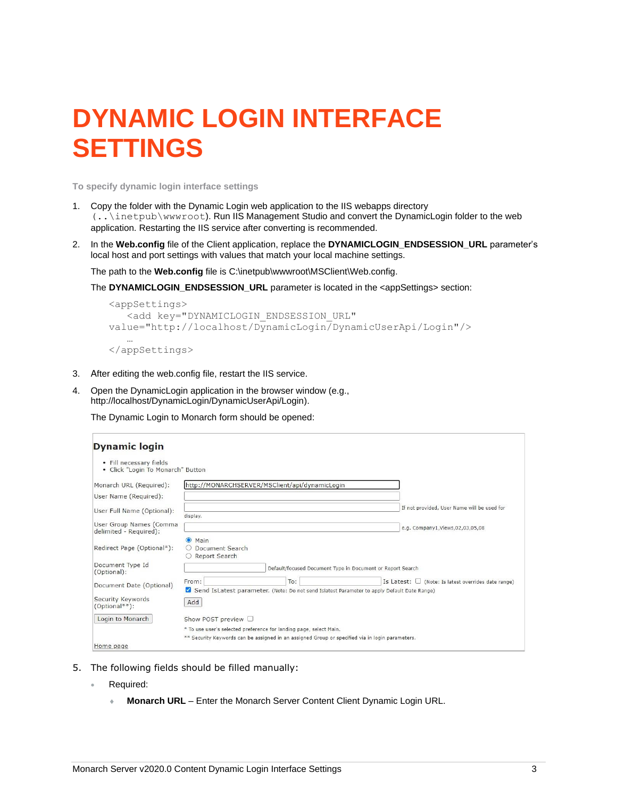## <span id="page-4-0"></span>**DYNAMIC LOGIN INTERFACE SETTINGS**

**To specify dynamic login interface settings**

- 1. Copy the folder with the Dynamic Login web application to the IIS webapps directory (..\inetpub\wwwroot). Run IIS Management Studio and convert the DynamicLogin folder to the web application. Restarting the IIS service after converting is recommended.
- 2. In the **Web.config** file of the Client application, replace the **DYNAMICLOGIN\_ENDSESSION\_URL** parameter's local host and port settings with values that match your local machine settings.

The path to the **Web.config** file is C:\inetpub\wwwroot\MSClient\Web.config.

The **DYNAMICLOGIN\_ENDSESSION\_URL** parameter is located in the <appSettings> section:

```
<appSettings>
    <add key="DYNAMICLOGIN_ENDSESSION_URL" 
value="http://localhost/DynamicLogin/DynamicUserApi/Login"/>
 …
```

```
</appSettings>
```
- 3. After editing the web.config file, restart the IIS service.
- 4. Open the DynamicLogin application in the browser window (e.g., http://localhost/DynamicLogin/DynamicUserApi/Login).

The Dynamic Login to Monarch form should be opened:

| <b>Dynamic login</b>                                         |                                                                                                                                                                              |
|--------------------------------------------------------------|------------------------------------------------------------------------------------------------------------------------------------------------------------------------------|
| • Fill necessary fields<br>• Click "Login To Monarch" Button |                                                                                                                                                                              |
| Monarch URL (Required):<br>User Name (Required):             | http://MONARCHSERVER/MSClient/api/dynamicLogin                                                                                                                               |
| User Full Name (Optional):                                   | If not provided, User Name will be used for<br>display.                                                                                                                      |
| User Group Names (Comma<br>delimited - Required):            | e.g. Company1, Views, 02, 03, 05, 08                                                                                                                                         |
| Redirect Page (Optional*):                                   | $\odot$ Main<br>Document Search<br>O Report Search                                                                                                                           |
| Document Type Id<br>(Optional):                              | Default/focused Document Type in Document or Report Search                                                                                                                   |
| Document Date (Optional)                                     | Is Latest: $\Box$ (Note: Is latest overrides date range)<br>From:<br>To:<br>M<br>Send IsLatest parameter. (Note: Do not send Islatest Parameter to apply Default Date Range) |
| Security Keywords<br>(Optional**):                           | Add                                                                                                                                                                          |
| Login to Monarch                                             | Show POST preview □                                                                                                                                                          |
| Home page                                                    | * To use user's selected preference for landing page, select Main.<br>** Security Keywords can be assigned in an assigned Group or specified via in login parameters.        |

- 5. The following fields should be filled manually:
	- Required:
		- **Monarch URL** Enter the Monarch Server Content Client Dynamic Login URL.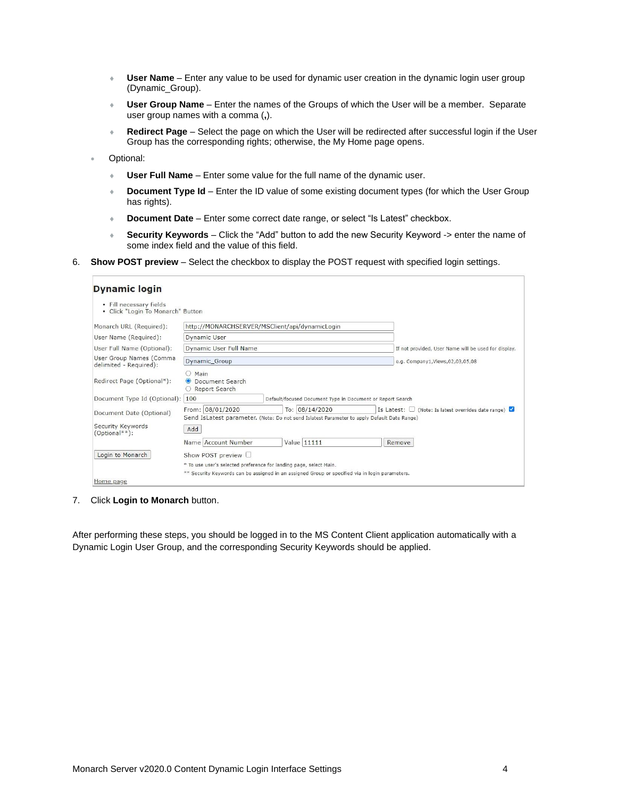- **User Name** Enter any value to be used for dynamic user creation in the dynamic login user group (Dynamic\_Group).
- **User Group Name** Enter the names of the Groups of which the User will be a member. Separate user group names with a comma (**,**).
- **Redirect Page** Select the page on which the User will be redirected after successful login if the User Group has the corresponding rights; otherwise, the My Home page opens.
- Optional:
	- **User Full Name** Enter some value for the full name of the dynamic user.
	- **Document Type Id** Enter the ID value of some existing document types (for which the User Group has rights).
	- **Document Date** Enter some correct date range, or select "Is Latest" checkbox.
	- **Security Keywords** Click the "Add" button to add the new Security Keyword -> enter the name of some index field and the value of this field.
- 6. **Show POST preview**  Select the checkbox to display the POST request with specified login settings.

| <b>Dynamic login</b>                                            |                                                                                                                                                                                                  |                                                                                                 |                                                      |  |  |  |
|-----------------------------------------------------------------|--------------------------------------------------------------------------------------------------------------------------------------------------------------------------------------------------|-------------------------------------------------------------------------------------------------|------------------------------------------------------|--|--|--|
| · Fill necessary fields<br>Click "Login To Monarch" Button<br>٠ |                                                                                                                                                                                                  |                                                                                                 |                                                      |  |  |  |
| Monarch URL (Required):                                         |                                                                                                                                                                                                  | http://MONARCHSERVER/MSClient/api/dynamicLogin                                                  |                                                      |  |  |  |
| User Name (Required):                                           | Dynamic User                                                                                                                                                                                     |                                                                                                 |                                                      |  |  |  |
| User Full Name (Optional):                                      | Dynamic User Full Name                                                                                                                                                                           |                                                                                                 | If not provided, User Name will be used for display. |  |  |  |
| User Group Names (Comma<br>delimited - Required):               | Dynamic_Group                                                                                                                                                                                    |                                                                                                 | e.g. Company1, Views, 02, 03, 05, 08                 |  |  |  |
| Redirect Page (Optional*):                                      | O Main<br>Document Search<br>O Report Search                                                                                                                                                     |                                                                                                 |                                                      |  |  |  |
| Document Type Id (Optional): 100                                | Default/focused Document Type in Document or Report Search                                                                                                                                       |                                                                                                 |                                                      |  |  |  |
| Document Date (Optional)                                        | From: 08/01/2020<br>To: 08/14/2020<br>(Note: Is latest overrides date range)<br>Is Latest: $\Box$<br>Send IsLatest parameter. (Note: Do not send Islatest Parameter to apply Default Date Range) |                                                                                                 |                                                      |  |  |  |
| Security Keywords<br>(Optional**):                              | Add                                                                                                                                                                                              |                                                                                                 |                                                      |  |  |  |
|                                                                 | Name Account Number                                                                                                                                                                              | Value 11111                                                                                     | Remove                                               |  |  |  |
| Login to Monarch                                                | Show POST preview $\Box$                                                                                                                                                                         |                                                                                                 |                                                      |  |  |  |
|                                                                 | * To use user's selected preference for landing page, select Main.                                                                                                                               |                                                                                                 |                                                      |  |  |  |
|                                                                 |                                                                                                                                                                                                  | ** Security Keywords can be assigned in an assigned Group or specified via in login parameters. |                                                      |  |  |  |
| Home page                                                       |                                                                                                                                                                                                  |                                                                                                 |                                                      |  |  |  |

7. Click **Login to Monarch** button.

After performing these steps, you should be logged in to the MS Content Client application automatically with a Dynamic Login User Group, and the corresponding Security Keywords should be applied.